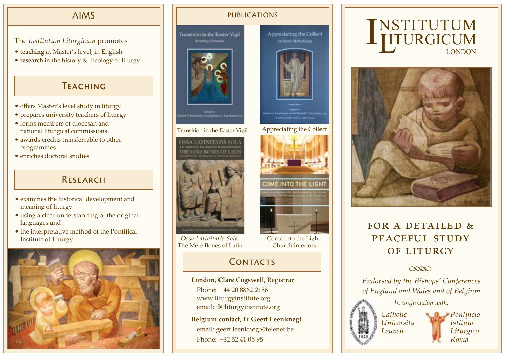## AIMS

The *Institutum Liturgicum* promotes

- **teaching** at Master's level, in English
- **research** in the history & theology of liturgy

## **TEACHING**

- offers Master's level study in liturgy
- prepares university teachers of liturgy
- forms members of diocesan and national liturgical commissions
- awards credits transferrable to other programmes
- enriches doctoral studies

## Research

- examines the historical development and meaning of liturgy
- using a clear understanding of the original languages and
- the interpretative method of the Pontifical Institute of Liturgy



### PUBLICATIONS

**Transition in the Easter Vigil Recombig Clinicians** 



Transition in the Easter Vigil Appreciating the Collect



*Ossa Latinitatis Sola:* The Mere Bones of Latin

# CONTACTS

**London, Clare Cogswell,** Registrar Phone: +44 20 8862 2156 www.liturgyinstitute.org email: il@liturgyinstitute.org

**Belgium contact, Fr Geert Leenknegt** email: geert.leenknegt@telenet.be Phone: +32 52 41 05 95





# FOR A DETAILED  $\&$ PEACEFUL STUDY OF LITURGY



*of England and Wales and of Belgium*

*In conjunction with:*



*Leuven*

*Pontificio Istituto Liturgico Roma*



COME INTO THE LIGHT

Appreciating the Collect

An Invest Methodology

Church interiors